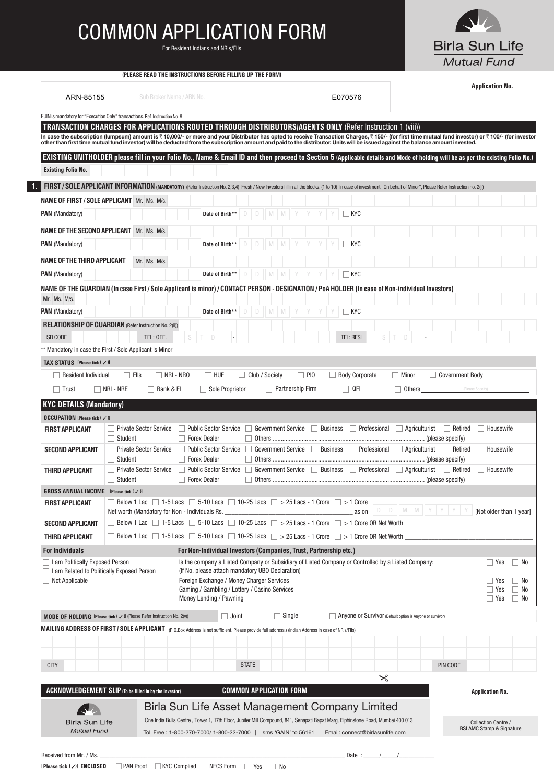## *COMMON APPLICATION FORM*

*For Resident Indians and NRIs/FIIs*



| (PLEASE READ THE INSTRUCTIONS BEFORE FILLING UP THE FORM) |  |  |
|-----------------------------------------------------------|--|--|
|                                                           |  |  |

|                                            |                                                                                                                                                   |                                                                                                                        |                                                                   |                                                                                                                                                                                                                     |                                                           | <b>Application No.</b>                                                                                                                                                                             |  |  |
|--------------------------------------------|---------------------------------------------------------------------------------------------------------------------------------------------------|------------------------------------------------------------------------------------------------------------------------|-------------------------------------------------------------------|---------------------------------------------------------------------------------------------------------------------------------------------------------------------------------------------------------------------|-----------------------------------------------------------|----------------------------------------------------------------------------------------------------------------------------------------------------------------------------------------------------|--|--|
| ARN-85155                                  |                                                                                                                                                   | Sub Broker Name / ARN No.                                                                                              |                                                                   | E070576                                                                                                                                                                                                             |                                                           |                                                                                                                                                                                                    |  |  |
|                                            | EUIN is mandatory for "Execution Only" transactions. Ref. Instruction No. 9                                                                       |                                                                                                                        |                                                                   |                                                                                                                                                                                                                     |                                                           |                                                                                                                                                                                                    |  |  |
|                                            |                                                                                                                                                   |                                                                                                                        |                                                                   | TRANSACTION CHARGES FOR APPLICATIONS ROUTED THROUGH DISTRIBUTORS/AGENTS ONLY (Refer Instruction 1 (viii))                                                                                                           |                                                           | In case the subscription (lumpsum) amount is ₹10,000/- or more and your Distributor has opted to receive Transaction Charges, ₹150/- (for first time mutual fund investor) or ₹100/- (for investor |  |  |
|                                            |                                                                                                                                                   |                                                                                                                        |                                                                   | other than first time mutual fund investor) will be deducted from the subscription amount and paid to the distributor. Units will be issued against the balance amount invested.                                    |                                                           |                                                                                                                                                                                                    |  |  |
|                                            |                                                                                                                                                   |                                                                                                                        |                                                                   |                                                                                                                                                                                                                     |                                                           | EXISTING UNITHOLDER please fill in your Folio No., Name & Email ID and then proceed to Section 5 (Applicable details and Mode of holding will be as per the existing Folio No.)                    |  |  |
| <b>Existing Folio No.</b>                  |                                                                                                                                                   |                                                                                                                        |                                                                   |                                                                                                                                                                                                                     |                                                           |                                                                                                                                                                                                    |  |  |
|                                            |                                                                                                                                                   |                                                                                                                        |                                                                   | FIRST / SOLE APPLICANT INFORMATION (MANDATORY) (Refer Instruction No. 2,3,4) Fresh / New Investors fill in all the blocks. (1 to 10) In case of investment "On behalf of Minor", Please Refer Instruction no. 2(ii) |                                                           |                                                                                                                                                                                                    |  |  |
|                                            | <b>NAME OF FIRST / SOLE APPLICANT Mr. Ms. M/s.</b>                                                                                                |                                                                                                                        |                                                                   |                                                                                                                                                                                                                     |                                                           |                                                                                                                                                                                                    |  |  |
| <b>PAN</b> (Mandatory)                     |                                                                                                                                                   | Date of Birth                                                                                                          |                                                                   | $\Box$ kyc                                                                                                                                                                                                          |                                                           |                                                                                                                                                                                                    |  |  |
|                                            | <b>NAME OF THE SECOND APPLICANT Mr. Ms. M/s.</b>                                                                                                  |                                                                                                                        |                                                                   |                                                                                                                                                                                                                     |                                                           |                                                                                                                                                                                                    |  |  |
| <b>PAN</b> (Mandatory)                     |                                                                                                                                                   | Date of Birth*                                                                                                         |                                                                   | ∣ KYC                                                                                                                                                                                                               |                                                           |                                                                                                                                                                                                    |  |  |
| <b>NAME OF THE THIRD APPLICANT</b>         | Mr. Ms. M/s.                                                                                                                                      |                                                                                                                        |                                                                   |                                                                                                                                                                                                                     |                                                           |                                                                                                                                                                                                    |  |  |
| <b>PAN</b> (Mandatory)                     |                                                                                                                                                   | Date of Birth**                                                                                                        | M M Y Y<br>D                                                      | $\Box$ KYC                                                                                                                                                                                                          |                                                           |                                                                                                                                                                                                    |  |  |
|                                            |                                                                                                                                                   |                                                                                                                        |                                                                   | NAME OF THE GUARDIAN (In case First/Sole Applicant is minor)/CONTACT PERSON - DESIGNATION/PoA HOLDER (In case of Non-individual Investors)                                                                          |                                                           |                                                                                                                                                                                                    |  |  |
| Mr. Ms. M/s.                               |                                                                                                                                                   |                                                                                                                        |                                                                   |                                                                                                                                                                                                                     |                                                           |                                                                                                                                                                                                    |  |  |
| <b>PAN</b> (Mandatory)                     |                                                                                                                                                   | Date of Birth**                                                                                                        | D<br>M<br>D<br>M                                                  | $\Box$ kyc                                                                                                                                                                                                          |                                                           |                                                                                                                                                                                                    |  |  |
|                                            | <b>RELATIONSHIP OF GUARDIAN (Refer Instruction No. 2(ii))</b>                                                                                     |                                                                                                                        |                                                                   |                                                                                                                                                                                                                     |                                                           |                                                                                                                                                                                                    |  |  |
| <b>ISD CODE</b>                            | TEL: OFF.                                                                                                                                         |                                                                                                                        |                                                                   | <b>TEL: RESI</b>                                                                                                                                                                                                    |                                                           |                                                                                                                                                                                                    |  |  |
|                                            | ** Mandatory in case the First / Sole Applicant is Minor                                                                                          |                                                                                                                        |                                                                   |                                                                                                                                                                                                                     |                                                           |                                                                                                                                                                                                    |  |  |
| <b>TAX STATUS</b> [Please tick (√)]        |                                                                                                                                                   |                                                                                                                        |                                                                   |                                                                                                                                                                                                                     |                                                           |                                                                                                                                                                                                    |  |  |
| Resident Individual                        | $\Box$ Fils                                                                                                                                       | $\Box$ NRI - NRO<br>$\Box$ huf                                                                                         | Club / Society                                                    | <b>Body Corporate</b><br>$\Box$ PIO                                                                                                                                                                                 | l Minor                                                   | Government Body                                                                                                                                                                                    |  |  |
| $\Box$ Trust                               | $\Box$ NRI - NRE<br>$\Box$ Bank & FI                                                                                                              | $\Box$ Sole Proprietor                                                                                                 | <b>Partnership Firm</b>                                           | $\Box$ QFI                                                                                                                                                                                                          | $\Box$ Others                                             | (Please Specify)                                                                                                                                                                                   |  |  |
| <b>KYC DETAILS (Mandatory)</b>             |                                                                                                                                                   |                                                                                                                        |                                                                   |                                                                                                                                                                                                                     |                                                           |                                                                                                                                                                                                    |  |  |
| <b>OCCUPATION</b> [Please tick (√)]        |                                                                                                                                                   |                                                                                                                        |                                                                   |                                                                                                                                                                                                                     |                                                           |                                                                                                                                                                                                    |  |  |
| <b>FIRST APPLICANT</b>                     | <b>Private Sector Service</b><br>Student                                                                                                          | <b>Public Sector Service</b><br>Forex Dealer                                                                           | <b>Government Service</b>                                         | Professional<br>  Business                                                                                                                                                                                          | $\Box$ Agriculturist                                      | $\Box$ Retired<br>    Housewife                                                                                                                                                                    |  |  |
| <b>SECOND APPLICANT</b>                    | Private Sector Service                                                                                                                            | Public Sector Service                                                                                                  | <b>Government Service</b>                                         | <b>Business</b>                                                                                                                                                                                                     | Professional Agriculturist Retired                        | Housewife                                                                                                                                                                                          |  |  |
|                                            | $\Box$ Student                                                                                                                                    | □ Forex Dealer                                                                                                         |                                                                   |                                                                                                                                                                                                                     |                                                           |                                                                                                                                                                                                    |  |  |
| THIRD APPLICANT                            | □ Private Sector Service<br>$\Box$ Student                                                                                                        | □ Public Sector Service<br>    Forex Dealer                                                                            | <b>Government Service</b>                                         | Business<br>$\overline{1}$                                                                                                                                                                                          | Professional Agriculturist Retired                        | <b>Housewife</b>                                                                                                                                                                                   |  |  |
| GROSS ANNUAL INCOME [Please tick (√)]      |                                                                                                                                                   |                                                                                                                        |                                                                   |                                                                                                                                                                                                                     |                                                           |                                                                                                                                                                                                    |  |  |
| <b>FIRST APPLICANT</b>                     |                                                                                                                                                   |                                                                                                                        |                                                                   | Below 1 Lac 1 -5 Lacs $\Box$ 5-10 Lacs $\Box$ 10-25 Lacs $\Box$ > 25 Lacs - 1 Crore $\Box$ > 1 Crore                                                                                                                | $D$ $D$ $M$ $M$ $Y$ $Y$ $Y$                               |                                                                                                                                                                                                    |  |  |
| <b>SECOND APPLICANT</b>                    | Net worth (Mandatory for Non - Individuals Rs.                                                                                                    |                                                                                                                        |                                                                   | as on<br>Below 1 Lac $\Box$ 1-5 Lacs $\Box$ 5-10 Lacs $\Box$ 10-25 Lacs $\Box$ > 25 Lacs - 1 Crore $\Box$ > 1 Crore OR Net Worth                                                                                    |                                                           | [Not older than 1 year]                                                                                                                                                                            |  |  |
| THIRD APPLICANT                            |                                                                                                                                                   |                                                                                                                        |                                                                   | Below 1 Lac $\Box$ 1-5 Lacs $\Box$ 5-10 Lacs $\Box$ 10-25 Lacs $\Box$ > 25 Lacs - 1 Crore $\Box$ > 1 Crore OR Net Worth                                                                                             |                                                           |                                                                                                                                                                                                    |  |  |
| <b>For Individuals</b>                     |                                                                                                                                                   |                                                                                                                        | For Non-Individual Investors (Companies, Trust, Partnership etc.) |                                                                                                                                                                                                                     |                                                           |                                                                                                                                                                                                    |  |  |
| I am Politically Exposed Person            |                                                                                                                                                   |                                                                                                                        |                                                                   | Is the company a Listed Company or Subsidiary of Listed Company or Controlled by a Listed Company:                                                                                                                  |                                                           | $\Box$ Yes<br>$\Box$ No                                                                                                                                                                            |  |  |
| I am Related to Politically Exposed Person |                                                                                                                                                   | (If No, please attach mandatory UBO Declaration)<br>$\Box$ No                                                          |                                                                   |                                                                                                                                                                                                                     |                                                           |                                                                                                                                                                                                    |  |  |
| $\Box$ Not Applicable                      |                                                                                                                                                   | Foreign Exchange / Money Charger Services<br>$\Box$ Yes<br>Gaming / Gambling / Lottery / Casino Services<br>$\Box$ Yes |                                                                   |                                                                                                                                                                                                                     |                                                           |                                                                                                                                                                                                    |  |  |
|                                            |                                                                                                                                                   | Money Lending / Pawning                                                                                                |                                                                   |                                                                                                                                                                                                                     |                                                           | $\Box$ Yes<br>$\Box$ No                                                                                                                                                                            |  |  |
|                                            | MODE OF HOLDING IPlease tick ( / )] (Please Refer Instruction No. 2(v))                                                                           | $\Box$ Joint                                                                                                           | $\Box$ Single                                                     |                                                                                                                                                                                                                     | Anyone or Survivor (Default option is Anyone or survivor) |                                                                                                                                                                                                    |  |  |
|                                            | MAILING ADDRESS OF FIRST / SOLE APPLICANT (P.O.Box Address is not sufficient. Please provide full address.) (Indian Address in case of NRIs/FlIs) |                                                                                                                        |                                                                   |                                                                                                                                                                                                                     |                                                           |                                                                                                                                                                                                    |  |  |
|                                            |                                                                                                                                                   |                                                                                                                        |                                                                   |                                                                                                                                                                                                                     |                                                           |                                                                                                                                                                                                    |  |  |
|                                            |                                                                                                                                                   |                                                                                                                        |                                                                   |                                                                                                                                                                                                                     |                                                           |                                                                                                                                                                                                    |  |  |
| <b>CITY</b>                                |                                                                                                                                                   |                                                                                                                        | <b>STATE</b>                                                      |                                                                                                                                                                                                                     |                                                           | PIN CODE                                                                                                                                                                                           |  |  |
|                                            |                                                                                                                                                   |                                                                                                                        |                                                                   |                                                                                                                                                                                                                     |                                                           |                                                                                                                                                                                                    |  |  |
|                                            | ACKNOWLEDGEMENT SLIP (To be filled in by the Investor)                                                                                            |                                                                                                                        | <b>COMMON APPLICATION FORM</b>                                    |                                                                                                                                                                                                                     |                                                           | <b>Application No.</b>                                                                                                                                                                             |  |  |
|                                            |                                                                                                                                                   |                                                                                                                        |                                                                   | Birla Sun Life Asset Management Company Limited                                                                                                                                                                     |                                                           |                                                                                                                                                                                                    |  |  |
| <b>Birla Sun Life</b>                      |                                                                                                                                                   |                                                                                                                        |                                                                   | One India Bulls Centre, Tower 1, 17th Floor, Jupiter Mill Compound, 841, Senapati Bapat Marg, Elphinstone Road, Mumbai 400 013                                                                                      |                                                           | Collection Centre /                                                                                                                                                                                |  |  |
| <b>Mutual Fund</b>                         |                                                                                                                                                   |                                                                                                                        |                                                                   | Toll Free: 1-800-270-7000/ 1-800-22-7000   sms 'GAIN' to 56161   Email: connect@birlasunlife.com                                                                                                                    |                                                           | <b>BSLAMC Stamp &amp; Signature</b>                                                                                                                                                                |  |  |
|                                            |                                                                                                                                                   |                                                                                                                        |                                                                   |                                                                                                                                                                                                                     |                                                           |                                                                                                                                                                                                    |  |  |
| Received from Mr. / Ms.                    |                                                                                                                                                   |                                                                                                                        |                                                                   |                                                                                                                                                                                                                     | Date: $\frac{1}{2}$ /                                     |                                                                                                                                                                                                    |  |  |
| [Please tick (√)] ENCLOSED                 | PAN Proof KYC Complied                                                                                                                            |                                                                                                                        | NECS Form Pres No                                                 |                                                                                                                                                                                                                     |                                                           |                                                                                                                                                                                                    |  |  |

 $-$